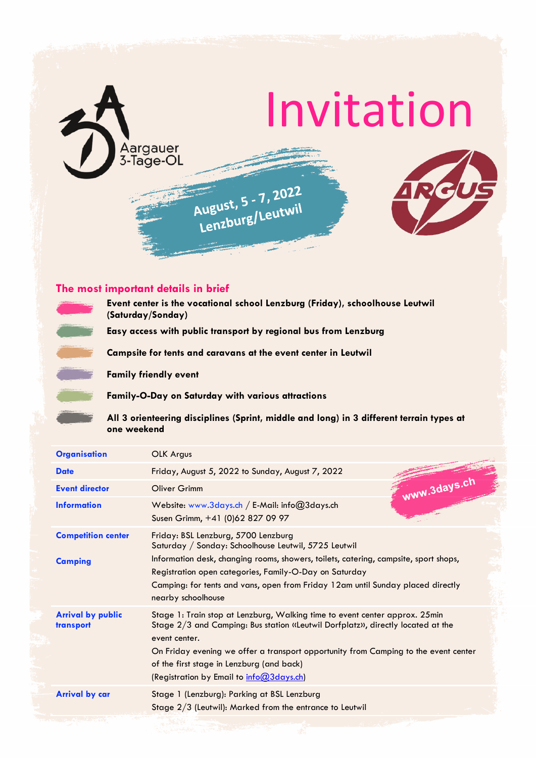

**Campsite for tents and caravans at the event center in Leutwil**

**Family friendly event**

**Family-O-Day on Saturday with various attractions**

**All 3 orienteering disciplines (Sprint, middle and long) in 3 different terrain types at one weekend**

| <b>Organisation</b>                         | <b>OLK Argus</b>                                                                                                                                                                                                                                                                                                                                                |
|---------------------------------------------|-----------------------------------------------------------------------------------------------------------------------------------------------------------------------------------------------------------------------------------------------------------------------------------------------------------------------------------------------------------------|
| <b>Date</b>                                 | Friday, August 5, 2022 to Sunday, August 7, 2022                                                                                                                                                                                                                                                                                                                |
| <b>Event director</b>                       | www.3days.ch<br>Oliver Grimm                                                                                                                                                                                                                                                                                                                                    |
| <b>Information</b>                          | Website: www.3days.ch / E-Mail: info@3days.ch<br>Susen Grimm, +41 (0)62 827 09 97                                                                                                                                                                                                                                                                               |
| <b>Competition center</b><br><b>Camping</b> | Friday: BSL Lenzburg, 5700 Lenzburg<br>Saturday / Sonday: Schoolhouse Leutwil, 5725 Leutwil<br>Information desk, changing rooms, showers, toilets, catering, campsite, sport shops,<br>Registration open categories, Family-O-Day on Saturday<br>Camping: for tents and vans, open from Friday 12am until Sunday placed directly<br>nearby schoolhouse          |
| <b>Arrival by public</b><br>transport       | Stage 1: Train stop at Lenzburg, Walking time to event center approx. 25min<br>Stage 2/3 and Camping: Bus station «Leutwil Dorfplatz», directly located at the<br>event center.<br>On Friday evening we offer a transport opportunity from Camping to the event center<br>of the first stage in Lenzburg (and back)<br>(Registration by Email to info@3days.ch) |
| <b>Arrival by car</b>                       | Stage 1 (Lenzburg): Parking at BSL Lenzburg<br>Stage 2/3 (Leutwil): Marked from the entrance to Leutwil                                                                                                                                                                                                                                                         |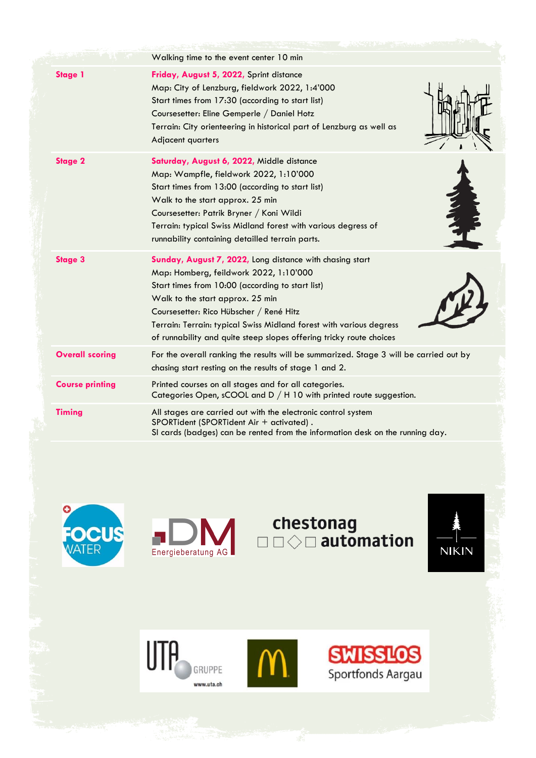|                        | Walking time to the event center 10 min                                                                                                                                                                                                                                                                                                                                             |
|------------------------|-------------------------------------------------------------------------------------------------------------------------------------------------------------------------------------------------------------------------------------------------------------------------------------------------------------------------------------------------------------------------------------|
| <b>Stage 1</b>         | Friday, August 5, 2022, Sprint distance<br>Map: City of Lenzburg, fieldwork 2022, 1:4'000<br>Start times from 17:30 (according to start list)<br>Coursesetter: Eline Gemperle / Daniel Hotz<br>Terrain: City orienteering in historical part of Lenzburg as well as<br>Adjacent quarters                                                                                            |
| <b>Stage 2</b>         | Saturday, August 6, 2022, Middle distance<br>Map: Wampfle, fieldwork 2022, 1:10'000<br>Start times from 13:00 (according to start list)<br>Walk to the start approx. 25 min<br>Coursesetter: Patrik Bryner / Koni Wildi<br>Terrain: typical Swiss Midland forest with various degress of<br>runnability containing detailled terrain parts.                                         |
| <b>Stage 3</b>         | Sunday, August 7, 2022, Long distance with chasing start<br>Map: Homberg, feildwork 2022, 1:10'000<br>Start times from 10:00 (according to start list)<br>Walk to the start approx. 25 min<br>Coursesetter: Rico Hübscher / René Hitz<br>Terrain: Terrain: typical Swiss Midland forest with various degress<br>of runnability and quite steep slopes offering tricky route choices |
| <b>Overall scoring</b> | For the overall ranking the results will be summarized. Stage 3 will be carried out by<br>chasing start resting on the results of stage 1 and 2.                                                                                                                                                                                                                                    |
| <b>Course printing</b> | Printed courses on all stages and for all categories.<br>Categories Open, sCOOL and D / H 10 with printed route suggestion.                                                                                                                                                                                                                                                         |
| <b>Timing</b>          | All stages are carried out with the electronic control system<br>SPORTident (SPORTident Air + activated).<br>SI cards (badges) can be rented from the information desk on the running day.                                                                                                                                                                                          |
|                        |                                                                                                                                                                                                                                                                                                                                                                                     |













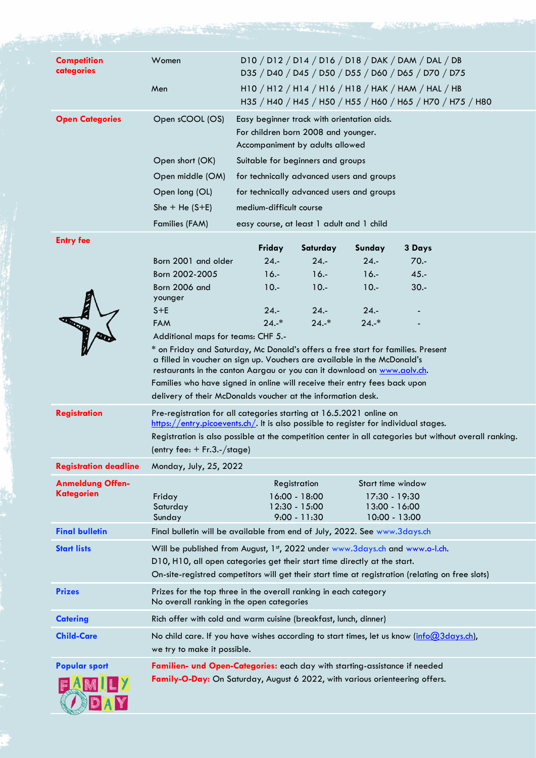| <b>Competition</b>                                                                                                                                                              | Women                                                                                                                                                                                                                                                                                             | D10 / D12 / D14 / D16 / D18 / DAK / DAM / DAL / DB                                                              |                                   |                   |                 |  |
|---------------------------------------------------------------------------------------------------------------------------------------------------------------------------------|---------------------------------------------------------------------------------------------------------------------------------------------------------------------------------------------------------------------------------------------------------------------------------------------------|-----------------------------------------------------------------------------------------------------------------|-----------------------------------|-------------------|-----------------|--|
| categories                                                                                                                                                                      |                                                                                                                                                                                                                                                                                                   | D35 / D40 / D45 / D50 / D55 / D60 / D65 / D70 / D75                                                             |                                   |                   |                 |  |
|                                                                                                                                                                                 | Men                                                                                                                                                                                                                                                                                               | H10 / H12 / H14 / H16 / H18 / HAK / HAM / HAL / HB<br>H35 / H40 / H45 / H50 / H55 / H60 / H65 / H70 / H75 / H80 |                                   |                   |                 |  |
| <b>Open Categories</b>                                                                                                                                                          | Open sCOOL (OS)                                                                                                                                                                                                                                                                                   | Easy beginner track with orientation aids.                                                                      |                                   |                   |                 |  |
|                                                                                                                                                                                 |                                                                                                                                                                                                                                                                                                   | For children born 2008 and younger.<br>Accompaniment by adults allowed                                          |                                   |                   |                 |  |
|                                                                                                                                                                                 | Open short (OK)                                                                                                                                                                                                                                                                                   | Suitable for beginners and groups                                                                               |                                   |                   |                 |  |
|                                                                                                                                                                                 | Open middle (OM)                                                                                                                                                                                                                                                                                  | for technically advanced users and groups                                                                       |                                   |                   |                 |  |
|                                                                                                                                                                                 | Open long (OL)                                                                                                                                                                                                                                                                                    | for technically advanced users and groups                                                                       |                                   |                   |                 |  |
|                                                                                                                                                                                 | She + He $(S+E)$                                                                                                                                                                                                                                                                                  | medium-difficult course                                                                                         |                                   |                   |                 |  |
|                                                                                                                                                                                 | Families (FAM)                                                                                                                                                                                                                                                                                    | easy course, at least 1 adult and 1 child                                                                       |                                   |                   |                 |  |
| <b>Entry fee</b>                                                                                                                                                                |                                                                                                                                                                                                                                                                                                   | Friday                                                                                                          | Saturday                          | Sunday            | 3 Days          |  |
|                                                                                                                                                                                 | Born 2001 and older                                                                                                                                                                                                                                                                               | $24. -$                                                                                                         | $24. -$                           | $24. -$           | $70. -$         |  |
|                                                                                                                                                                                 | Born 2002-2005                                                                                                                                                                                                                                                                                    | $16. -$                                                                                                         | $16. -$                           | $16. -$           | $45. -$         |  |
|                                                                                                                                                                                 | Born 2006 and<br>younger                                                                                                                                                                                                                                                                          | $10. -$                                                                                                         | $10. -$                           | $10.-$            | $30. -$         |  |
|                                                                                                                                                                                 | $S+E$                                                                                                                                                                                                                                                                                             | $24. -$                                                                                                         | $24. -$                           | $24. -$           |                 |  |
|                                                                                                                                                                                 | <b>FAM</b>                                                                                                                                                                                                                                                                                        | $24. -$ *                                                                                                       | $24. -$ *                         | $24. -$ *         |                 |  |
|                                                                                                                                                                                 | a filled in voucher on sign up. Vouchers are available in the McDonald's<br>restaurants in the canton Aargau or you can it download on www.aolv.ch.<br>Families who have signed in online will receive their entry fees back upon<br>delivery of their McDonalds voucher at the information desk. |                                                                                                                 |                                   |                   |                 |  |
|                                                                                                                                                                                 |                                                                                                                                                                                                                                                                                                   |                                                                                                                 |                                   |                   |                 |  |
|                                                                                                                                                                                 | Pre-registration for all categories starting at 16.5.2021 online on<br>https://entry.picoevents.ch/. It is also possible to register for individual stages.<br>Registration is also possible at the competition center in all categories but without overall ranking.                             |                                                                                                                 |                                   |                   |                 |  |
|                                                                                                                                                                                 | (entry fee: $+$ Fr.3.-/stage)                                                                                                                                                                                                                                                                     |                                                                                                                 |                                   |                   |                 |  |
|                                                                                                                                                                                 | Monday, July, 25, 2022                                                                                                                                                                                                                                                                            |                                                                                                                 |                                   |                   |                 |  |
|                                                                                                                                                                                 |                                                                                                                                                                                                                                                                                                   |                                                                                                                 | Registration                      | Start time window |                 |  |
|                                                                                                                                                                                 | Friday                                                                                                                                                                                                                                                                                            |                                                                                                                 | 16:00 - 18:00                     | 17:30 - 19:30     |                 |  |
|                                                                                                                                                                                 | Saturday<br>Sunday                                                                                                                                                                                                                                                                                |                                                                                                                 | $12:30 - 15:00$<br>$9:00 - 11:30$ | $13:00 - 16:00$   | $10:00 - 13:00$ |  |
|                                                                                                                                                                                 | Final bulletin will be available from end of July, 2022. See www.3days.ch                                                                                                                                                                                                                         |                                                                                                                 |                                   |                   |                 |  |
|                                                                                                                                                                                 | Will be published from August, 1st, 2022 under www.3days.ch and www.o-l.ch.                                                                                                                                                                                                                       |                                                                                                                 |                                   |                   |                 |  |
|                                                                                                                                                                                 | D10, H10, all open categories get their start time directly at the start.                                                                                                                                                                                                                         |                                                                                                                 |                                   |                   |                 |  |
|                                                                                                                                                                                 | On-site-registred competitors will get their start time at registration (relating on free slots)                                                                                                                                                                                                  |                                                                                                                 |                                   |                   |                 |  |
|                                                                                                                                                                                 | Prizes for the top three in the overall ranking in each category<br>No overall ranking in the open categories                                                                                                                                                                                     |                                                                                                                 |                                   |                   |                 |  |
| <b>Registration</b><br><b>Registration deadline</b><br><b>Anmeldung Offen-</b><br>Kategorien<br><b>Final bulletin</b><br><b>Start lists</b><br><b>Prizes</b><br><b>Catering</b> | Rich offer with cold and warm cuisine (breakfast, lunch, dinner)                                                                                                                                                                                                                                  |                                                                                                                 |                                   |                   |                 |  |
|                                                                                                                                                                                 | No child care. If you have wishes according to start times, let us know (info@3days.ch),<br>we try to make it possible.                                                                                                                                                                           |                                                                                                                 |                                   |                   |                 |  |
| <b>Child-Care</b><br><b>Popular sport</b>                                                                                                                                       | Familien- und Open-Categories: each day with starting-assistance if needed                                                                                                                                                                                                                        |                                                                                                                 |                                   |                   |                 |  |